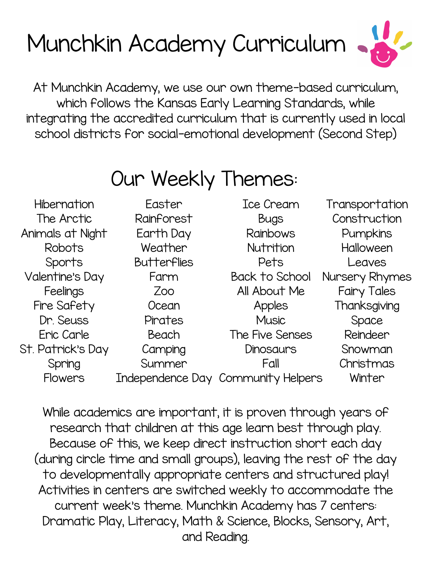# Munchkin Academy Curriculum



At Munchkin Academy, we use our own theme-based curriculum, which follows the Kansas Early Learning Standards, while integrating the accredited curriculum that is currently used in local school districts for social-emotional development (Second Step)

### Our Weekly Themes:

| <b>Hibernation</b> | Easter             | Ice Cream                          | Transportation     |
|--------------------|--------------------|------------------------------------|--------------------|
| The Arctic         | Rainforest         | <b>Bugs</b>                        | Construction       |
| Animals at Night   | Earth Day          | <b>Rainbows</b>                    | Pumpkins           |
| Robots             | Weather            | Nutrition                          | <b>Halloween</b>   |
| Sports             | <b>Butterflies</b> | Pets                               | Leaves             |
| Valentine's Day    | Farm               | <b>Back to School</b>              | Nursery Rhymes     |
| Feelings           | Zoo                | All About Me                       | <b>Fairy Tales</b> |
| Fire Safety        | Ocean              | Apples                             | Thanksgiving       |
| Dr. Seuss          | Pirates            | <b>Music</b>                       | Space              |
| Eric Carle         | Beach              | The Five Senses                    | Reindeer           |
| St. Patrick's Day  | Camping            | <b>Dinosaurs</b>                   | Snowman            |
| Spring             | Summer             | Fall                               | Christmas          |
| <b>Flowers</b>     |                    | Independence Day Community Helpers | Winter             |

While academics are important, it is proven through years of research that children at this age learn best through play. Because of this, we keep direct instruction short each day (during circle time and small groups), leaving the rest of the day to developmentally appropriate centers and structured play! Activities in centers are switched weekly to accommodate the current week's theme. Munchkin Academy has 7 centers: Dramatic Play, Literacy, Math & Science, Blocks, Sensory, Art, and Reading.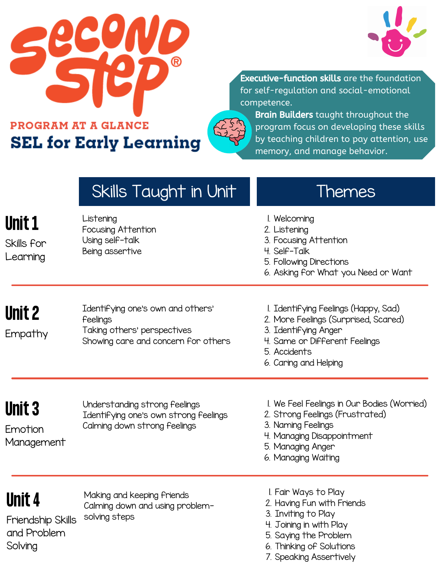



**Executive-function skills** are the foundation for self-regulation and social-emotional competence.

**PROGRAM AT A GLANCE SEL for Early Learning** 



Brain Builders taught throughout the program focus on developing these skills by teaching children to pay attention, use memory, and manage behavior.

|                                                       | Skills Taught in Unit                                                                                               | Themes                                                                                                                                                                         |
|-------------------------------------------------------|---------------------------------------------------------------------------------------------------------------------|--------------------------------------------------------------------------------------------------------------------------------------------------------------------------------|
| <b>Unit 1</b><br>Skills for<br>Learning               | Listening<br>Focusing Attention<br>Using self-talk<br>Being assertive                                               | I. Welcoming<br>2. Listening<br>3. Focusing Attention<br>4. Self-Talk<br>5. Following Directions<br>6. Asking for What you Need or Want                                        |
| <b>Unit 2</b><br>Empathy                              | Identifying one's own and others'<br>Feelings<br>Taking others' perspectives<br>Showing care and concern for others | I. Identifying Feelings (Happy, Sad)<br>2. More Feelings (Surprised, Scared)<br>3. Identifying Anger<br>4. Same or Different Feelings<br>5. Accidents<br>6. Caring and Helping |
| <b>Unit 3</b><br>Emotion<br>Management                | Understanding strong feelings<br>Identifying one's own strong feelings<br>Calming down strong feelings              | I. We Feel Feelings in Our Bodies (Worried)<br>2. Strong Feelings (Frustrated)<br>3. Naming Feelings<br>4. Managing Disappointment<br>5. Managing Anger<br>6. Managing Waiting |
| Unit 4<br>Friendship Skills<br>and Problem<br>Solving | Making and keeping Friends<br>Calming down and using problem-<br>solving steps                                      | I. Fair Ways to Play<br>2. Having Fun with Friends<br>3. Inviting to Play<br>4. Joining in with Play<br>5. Saying the Problem<br>6. Thinking of Solutions                      |

7. Speaking Assertively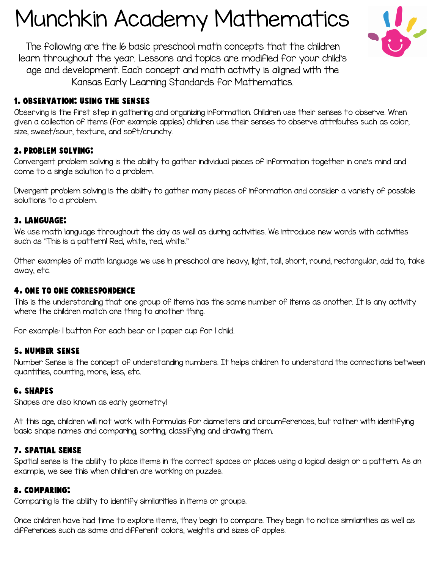## Munchkin Academy Mathematics



The following are the 16 basic preschool math concepts that the children learn throughout the year. Lessons and topics are modified for your child's age and development. Each concept and math activity is aligned with the Kansas Early Learning Standards for Mathematics.

#### 1. Observation: Using the senses

Observing is the first step in gathering and organizing information. Children use their senses to observe. When given a collection of items (for example apples) children use their senses to observe attributes such as color, size, sweet/sour, texture, and soft/crunchy.

#### 2. Problem Solving:

Convergent problem solving is the ability to gather individual pieces of information together in one's mind and come to a single solution to a problem.

Divergent problem solving is the ability to gather many pieces of information and consider a variety of possible solutions to a problem.

#### 3. Language:

We use math language throughout the day as well as during activities. We introduce new words with activities such as "This is a pattern! Red, white, red, white."

Other examples of math language we use in preschool are heavy, light, tall, short, round, rectangular, add to, take away, etc.

#### 4. One To One Correspondence

This is the understanding that one group of items has the same number of items as another. It is any activity where the children match one thing to another thing.

For example: 1 button for each bear or 1 paper cup for 1 child.

#### 5. Number Sense

Number Sense is the concept of understanding numbers. It helps children to understand the connections between quantities, counting, more, less, etc.

#### 6. Shapes

Shapes are also known as early geometry!

At this age, children will not work with formulas for diameters and circumferences, but rather with identifying basic shape names and comparing, sorting, classifying and drawing them.

#### 7. Spatial Sense

Spatial sense is the ability to place items in the correct spaces or places using a logical design or a pattern. As an example, we see this when children are working on puzzles.

#### 8. Comparing:

Comparing is the ability to identify similarities in items or groups.

Once children have had time to explore items, they begin to compare. They begin to notice similarities as well as differences such as same and different colors, weights and sizes of apples.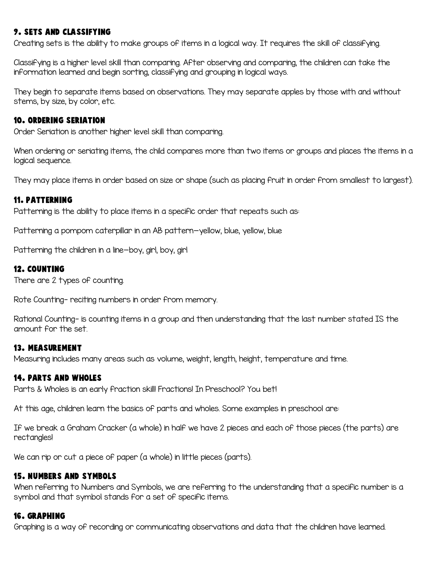#### 9. Sets and Classifying

Creating sets is the ability to make groups of items in a logical way. It requires the skill of classifying.

Classifying is a higher level skill than comparing. After observing and comparing, the children can take the information learned and begin sorting, classifying and grouping in logical ways.

They begin to separate items based on observations. They may separate apples by those with and without stems, by size, by color, etc.

#### 10. Ordering Seriation

Order Seriation is another higher level skill than comparing.

When ordering or seriating items, the child compares more than two items or groups and places the items in a logical sequence.

They may place items in order based on size or shape (such as placing fruit in order from smallest to largest).

#### 11. Patterning

Patterning is the ability to place items in a specific order that repeats such as:

Patterning a pompom caterpillar in an AB pattern—yellow, blue, yellow, blue

Patterning the children in a line—boy, girl, boy, girl

#### 12. Counting

There are 2 types of counting.

Rote Counting- reciting numbers in order from memory.

Rational Counting- is counting items in a group and then understanding that the last number stated IS the amount for the set.

#### 13. Measurement

Measuring includes many areas such as volume, weight, length, height, temperature and time.

#### 14. Parts and Wholes

Parts & Wholes is an early fraction skill! Fractions! In Preschool? You bet!

At this age, children learn the basics of parts and wholes. Some examples in preschool are:

If we break a Graham Cracker (a whole) in half we have 2 pieces and each of those pieces (the parts) are rectangles!

We can rip or cut a piece of paper (a whole) in little pieces (parts).

#### 15. Numbers and Symbols

When referring to Numbers and Symbols, we are referring to the understanding that a specific number is a symbol and that symbol stands for a set of specific items.

#### 16. Graphing

Graphing is a way of recording or communicating observations and data that the children have learned.